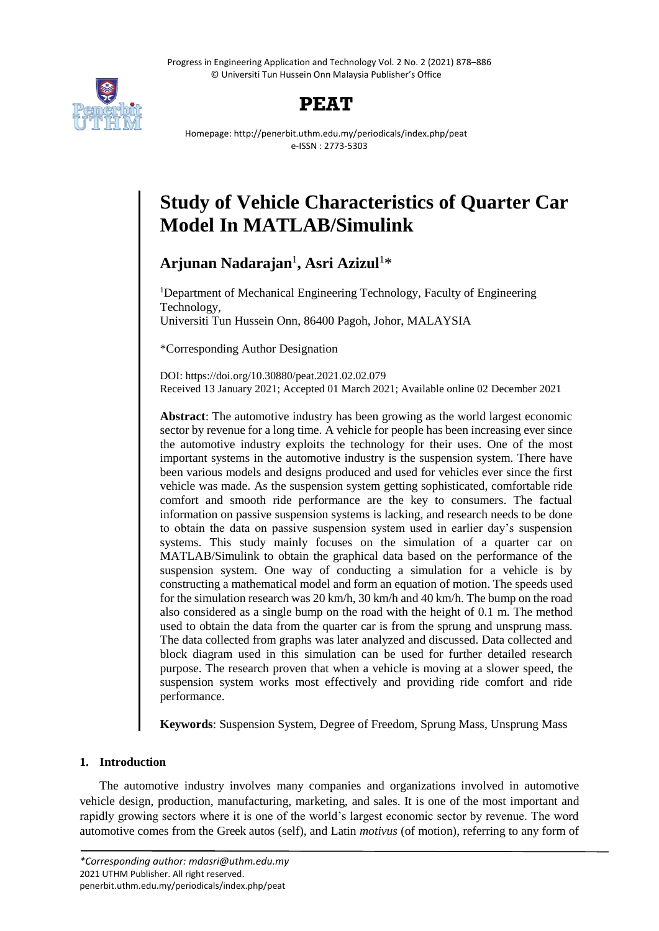Progress in Engineering Application and Technology Vol. 2 No. 2 (2021) 878–886 © Universiti Tun Hussein Onn Malaysia Publisher's Office



## **PEAT**

Homepage: http://penerbit.uthm.edu.my/periodicals/index.php/peat e-ISSN : 2773-5303

# **Study of Vehicle Characteristics of Quarter Car Model In MATLAB/Simulink**

**Arjunan Nadarajan**<sup>1</sup> **, Asri Azizul**<sup>1</sup>\*

<sup>1</sup>Department of Mechanical Engineering Technology, Faculty of Engineering Technology, Universiti Tun Hussein Onn, 86400 Pagoh, Johor, MALAYSIA

\*Corresponding Author Designation

DOI: https://doi.org/10.30880/peat.2021.02.02.079 Received 13 January 2021; Accepted 01 March 2021; Available online 02 December 2021

**Abstract**: The automotive industry has been growing as the world largest economic sector by revenue for a long time. A vehicle for people has been increasing ever since the automotive industry exploits the technology for their uses. One of the most important systems in the automotive industry is the suspension system. There have been various models and designs produced and used for vehicles ever since the first vehicle was made. As the suspension system getting sophisticated, comfortable ride comfort and smooth ride performance are the key to consumers. The factual information on passive suspension systems is lacking, and research needs to be done to obtain the data on passive suspension system used in earlier day's suspension systems. This study mainly focuses on the simulation of a quarter car on MATLAB/Simulink to obtain the graphical data based on the performance of the suspension system. One way of conducting a simulation for a vehicle is by constructing a mathematical model and form an equation of motion. The speeds used for the simulation research was 20 km/h, 30 km/h and 40 km/h. The bump on the road also considered as a single bump on the road with the height of 0.1 m. The method used to obtain the data from the quarter car is from the sprung and unsprung mass. The data collected from graphs was later analyzed and discussed. Data collected and block diagram used in this simulation can be used for further detailed research purpose. The research proven that when a vehicle is moving at a slower speed, the suspension system works most effectively and providing ride comfort and ride performance.

**Keywords**: Suspension System, Degree of Freedom, Sprung Mass, Unsprung Mass

## **1. Introduction**

The automotive industry involves many companies and organizations involved in automotive vehicle design, production, manufacturing, marketing, and sales. It is one of the most important and rapidly growing sectors where it is one of the world's largest economic sector by revenue. The word automotive comes from the Greek autos (self), and Latin *motivus* (of motion), referring to any form of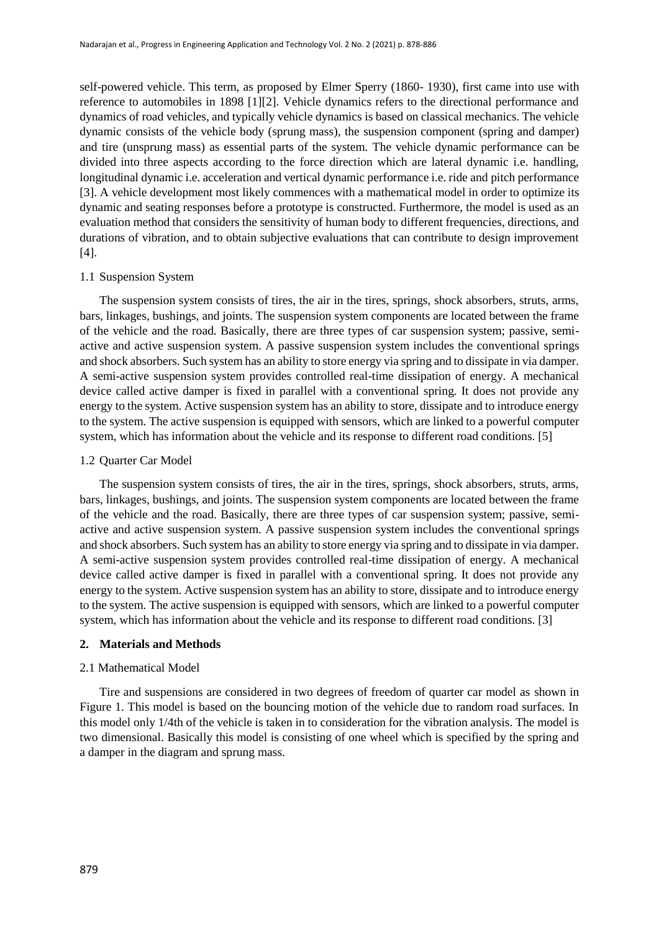self-powered vehicle. This term, as proposed by [Elmer Sperry \(](https://en.wikipedia.org/wiki/Elmer_Ambrose_Sperry)1860- 1930), first came into use with reference to automobiles in 1898 [1][2]. Vehicle dynamics refers to the directional performance and dynamics of road vehicles, and typically vehicle dynamics is based on classical mechanics. The vehicle dynamic consists of the vehicle body (sprung mass), the suspension component (spring and damper) and tire (unsprung mass) as essential parts of the system. The vehicle dynamic performance can be divided into three aspects according to the force direction which are lateral dynamic i.e. handling, longitudinal dynamic i.e. acceleration and vertical dynamic performance i.e. ride and pitch performance [3]. A vehicle development most likely commences with a mathematical model in order to optimize its dynamic and seating responses before a prototype is constructed. Furthermore, the model is used as an evaluation method that considers the sensitivity of human body to different frequencies, directions, and durations of vibration, and to obtain subjective evaluations that can contribute to design improvement [4].

#### 1.1 Suspension System

The suspension system consists of tires, the air in the tires, springs, shock absorbers, struts, arms, bars, linkages, bushings, and joints. The suspension system components are located between the frame of the vehicle and the road. Basically, there are three types of car suspension system; passive, semiactive and active suspension system. A passive suspension system includes the conventional springs and shock absorbers. Such system has an ability to store energy via spring and to dissipate in via damper. A semi-active suspension system provides controlled real-time dissipation of energy. A mechanical device called active damper is fixed in parallel with a conventional spring. It does not provide any energy to the system. Active suspension system has an ability to store, dissipate and to introduce energy to the system. The active suspension is equipped with sensors, which are linked to a powerful computer system, which has information about the vehicle and its response to different road conditions. [5]

#### 1.2 Quarter Car Model

The suspension system consists of tires, the air in the tires, springs, shock absorbers, struts, arms, bars, linkages, bushings, and joints. The suspension system components are located between the frame of the vehicle and the road. Basically, there are three types of car suspension system; passive, semiactive and active suspension system. A passive suspension system includes the conventional springs and shock absorbers. Such system has an ability to store energy via spring and to dissipate in via damper. A semi-active suspension system provides controlled real-time dissipation of energy. A mechanical device called active damper is fixed in parallel with a conventional spring. It does not provide any energy to the system. Active suspension system has an ability to store, dissipate and to introduce energy to the system. The active suspension is equipped with sensors, which are linked to a powerful computer system, which has information about the vehicle and its response to different road conditions. [3]

#### **2. Materials and Methods**

#### 2.1 Mathematical Model

Tire and suspensions are considered in two degrees of freedom of quarter car model as shown in Figure 1. This model is based on the bouncing motion of the vehicle due to random road surfaces. In this model only 1/4th of the vehicle is taken in to consideration for the vibration analysis. The model is two dimensional. Basically this model is consisting of one wheel which is specified by the spring and a damper in the diagram and sprung mass.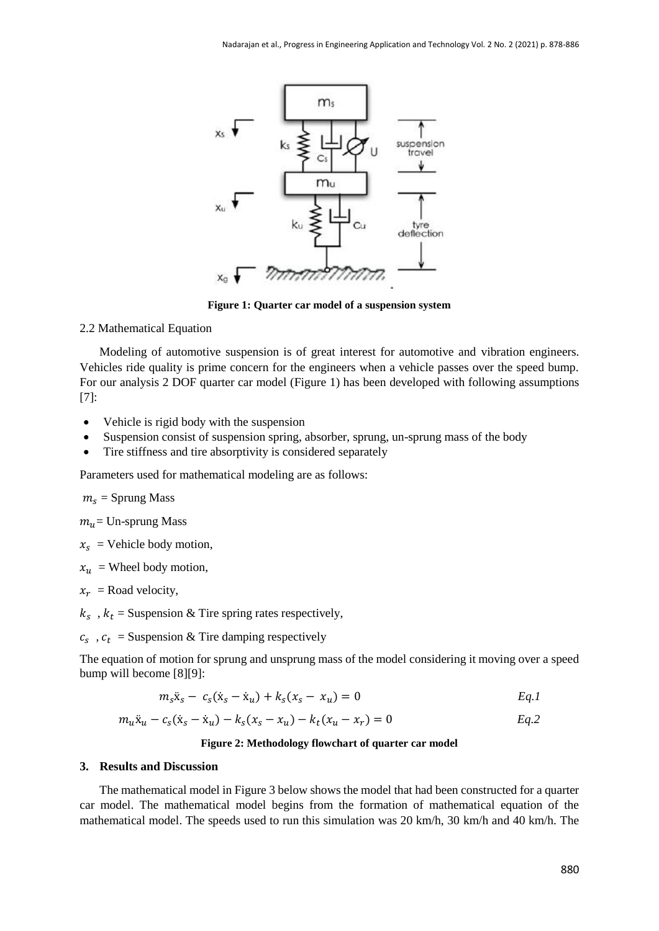

**Figure 1: Quarter car model of a suspension system**

2.2 Mathematical Equation

Modeling of automotive suspension is of great interest for automotive and vibration engineers. Vehicles ride quality is prime concern for the engineers when a vehicle passes over the speed bump. For our analysis 2 DOF quarter car model (Figure 1) has been developed with following assumptions [7]:

- Vehicle is rigid body with the suspension
- Suspension consist of suspension spring, absorber, sprung, un-sprung mass of the body
- Tire stiffness and tire absorptivity is considered separately

Parameters used for mathematical modeling are as follows:

 $m_s$  = Sprung Mass

 $m_{\nu}$  = Un-sprung Mass

 $x_s$  = Vehicle body motion,

 $x_u$  = Wheel body motion,

 $x_r$  = Road velocity,

 $k_s$ ,  $k_t$  = Suspension & Tire spring rates respectively,

 $c_s$ ,  $c_t$  = Suspension & Tire damping respectively

The equation of motion for sprung and unsprung mass of the model considering it moving over a speed bump will become [8][9]:

$$
m_{s}\ddot{x}_{s} - c_{s}(\dot{x}_{s} - \dot{x}_{u}) + k_{s}(x_{s} - x_{u}) = 0
$$

$$
m_u \ddot{x}_u - c_s (\dot{x}_s - \dot{x}_u) - k_s (x_s - x_u) - k_t (x_u - x_r) = 0
$$

#### **Figure 2: Methodology flowchart of quarter car model**

#### **3. Results and Discussion**

The mathematical model in Figure 3 below shows the model that had been constructed for a quarter car model. The mathematical model begins from the formation of mathematical equation of the mathematical model. The speeds used to run this simulation was 20 km/h, 30 km/h and 40 km/h. The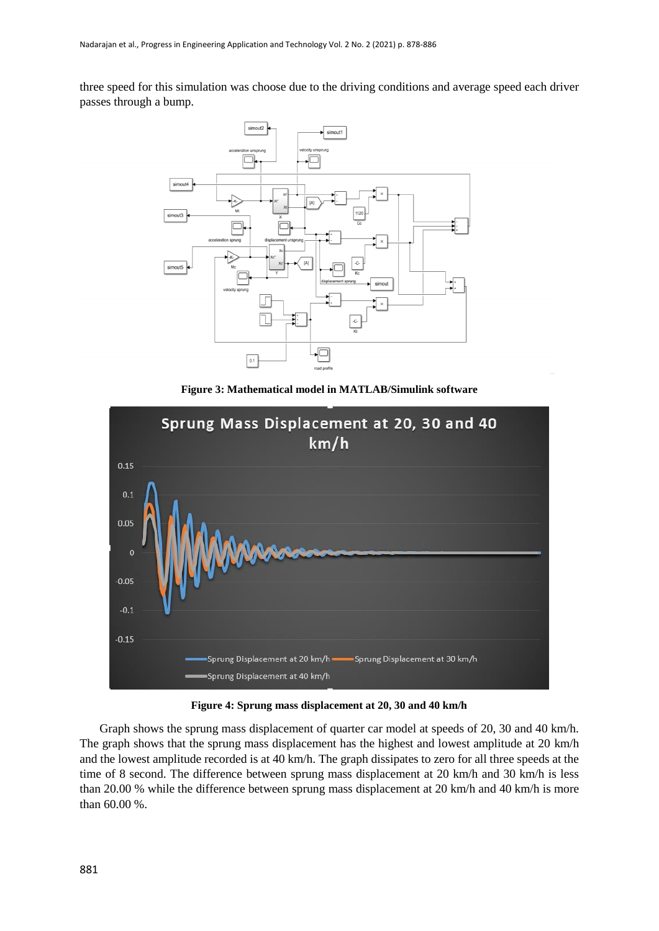three speed for this simulation was choose due to the driving conditions and average speed each driver passes through a bump.



**Figure 3: Mathematical model in MATLAB/Simulink software**



**Figure 4: Sprung mass displacement at 20, 30 and 40 km/h**

Graph shows the sprung mass displacement of quarter car model at speeds of 20, 30 and 40 km/h. The graph shows that the sprung mass displacement has the highest and lowest amplitude at 20 km/h and the lowest amplitude recorded is at 40 km/h. The graph dissipates to zero for all three speeds at the time of 8 second. The difference between sprung mass displacement at 20 km/h and 30 km/h is less than 20.00 % while the difference between sprung mass displacement at 20 km/h and 40 km/h is more than 60.00 %.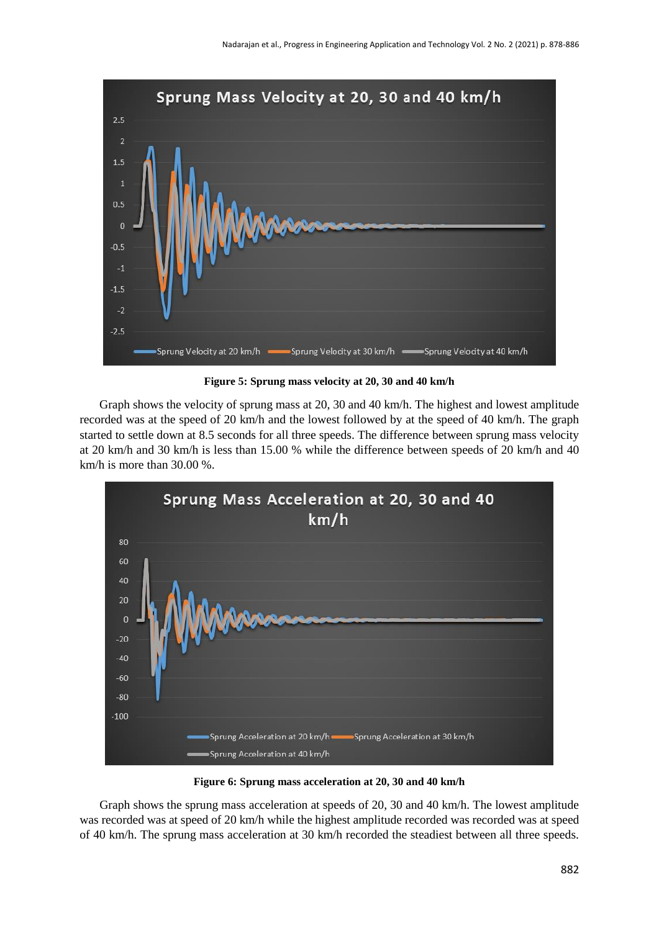

**Figure 5: Sprung mass velocity at 20, 30 and 40 km/h**

Graph shows the velocity of sprung mass at 20, 30 and 40 km/h. The highest and lowest amplitude recorded was at the speed of 20 km/h and the lowest followed by at the speed of 40 km/h. The graph started to settle down at 8.5 seconds for all three speeds. The difference between sprung mass velocity at 20 km/h and 30 km/h is less than 15.00 % while the difference between speeds of 20 km/h and 40 km/h is more than 30.00 %.



**Figure 6: Sprung mass acceleration at 20, 30 and 40 km/h**

Graph shows the sprung mass acceleration at speeds of 20, 30 and 40 km/h. The lowest amplitude was recorded was at speed of 20 km/h while the highest amplitude recorded was recorded was at speed of 40 km/h. The sprung mass acceleration at 30 km/h recorded the steadiest between all three speeds.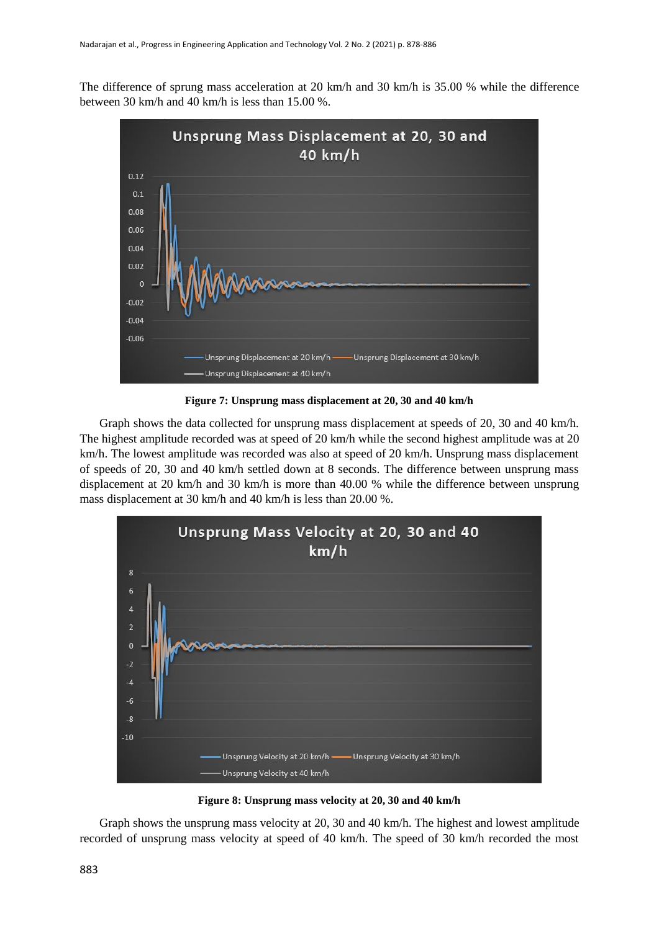The difference of sprung mass acceleration at 20 km/h and 30 km/h is 35.00 % while the difference between 30 km/h and 40 km/h is less than 15.00 %.



**Figure 7: Unsprung mass displacement at 20, 30 and 40 km/h**

Graph shows the data collected for unsprung mass displacement at speeds of 20, 30 and 40 km/h. The highest amplitude recorded was at speed of 20 km/h while the second highest amplitude was at 20 km/h. The lowest amplitude was recorded was also at speed of 20 km/h. Unsprung mass displacement of speeds of 20, 30 and 40 km/h settled down at 8 seconds. The difference between unsprung mass displacement at 20 km/h and 30 km/h is more than 40.00 % while the difference between unsprung mass displacement at 30 km/h and 40 km/h is less than 20.00 %.





Graph shows the unsprung mass velocity at 20, 30 and 40 km/h. The highest and lowest amplitude recorded of unsprung mass velocity at speed of 40 km/h. The speed of 30 km/h recorded the most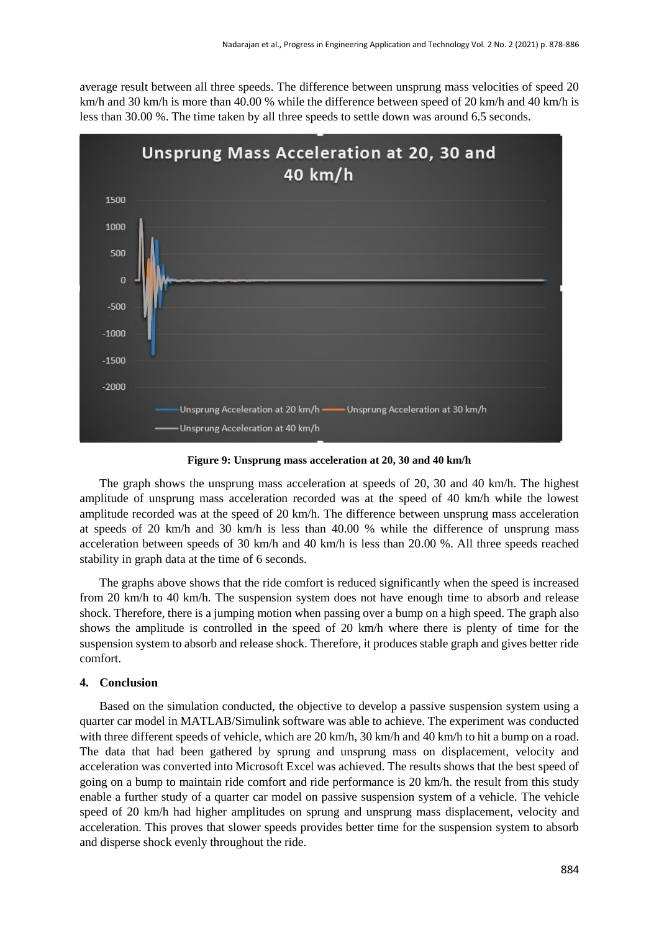average result between all three speeds. The difference between unsprung mass velocities of speed 20 km/h and 30 km/h is more than 40.00 % while the difference between speed of 20 km/h and 40 km/h is less than 30.00 %. The time taken by all three speeds to settle down was around 6.5 seconds.



**Figure 9: Unsprung mass acceleration at 20, 30 and 40 km/h**

The graph shows the unsprung mass acceleration at speeds of 20, 30 and 40 km/h. The highest amplitude of unsprung mass acceleration recorded was at the speed of 40 km/h while the lowest amplitude recorded was at the speed of 20 km/h. The difference between unsprung mass acceleration at speeds of 20 km/h and 30 km/h is less than 40.00 % while the difference of unsprung mass acceleration between speeds of 30 km/h and 40 km/h is less than 20.00 %. All three speeds reached stability in graph data at the time of 6 seconds.

The graphs above shows that the ride comfort is reduced significantly when the speed is increased from 20 km/h to 40 km/h. The suspension system does not have enough time to absorb and release shock. Therefore, there is a jumping motion when passing over a bump on a high speed. The graph also shows the amplitude is controlled in the speed of 20 km/h where there is plenty of time for the suspension system to absorb and release shock. Therefore, it produces stable graph and gives better ride comfort.

## **4. Conclusion**

Based on the simulation conducted, the objective to develop a passive suspension system using a quarter car model in MATLAB/Simulink software was able to achieve. The experiment was conducted with three different speeds of vehicle, which are 20 km/h, 30 km/h and 40 km/h to hit a bump on a road. The data that had been gathered by sprung and unsprung mass on displacement, velocity and acceleration was converted into Microsoft Excel was achieved. The results shows that the best speed of going on a bump to maintain ride comfort and ride performance is 20 km/h. the result from this study enable a further study of a quarter car model on passive suspension system of a vehicle. The vehicle speed of 20 km/h had higher amplitudes on sprung and unsprung mass displacement, velocity and acceleration. This proves that slower speeds provides better time for the suspension system to absorb and disperse shock evenly throughout the ride.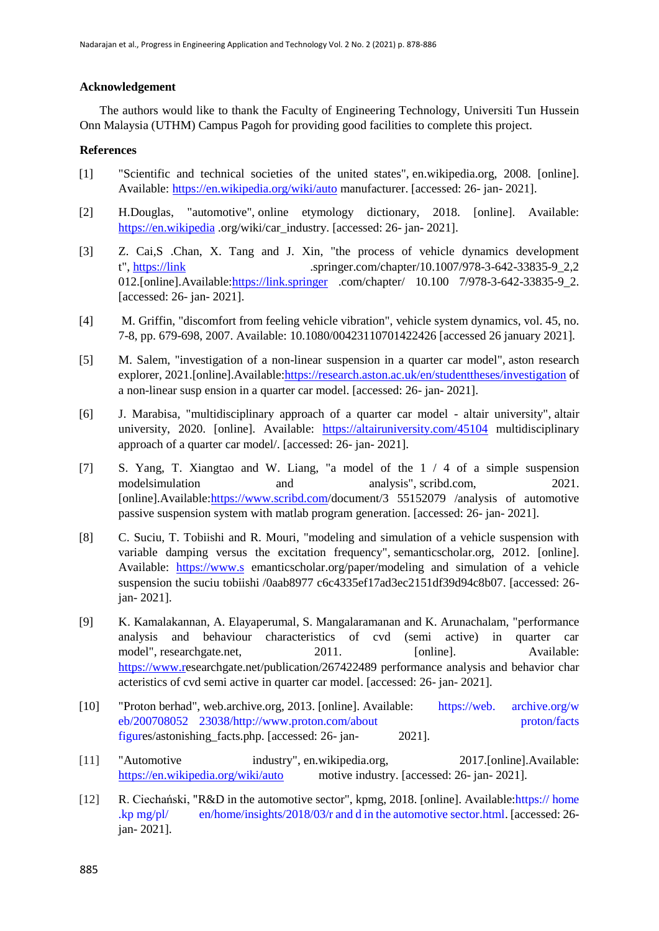## **Acknowledgement**

The authors would like to thank the Faculty of Engineering Technology, Universiti Tun Hussein Onn Malaysia (UTHM) Campus Pagoh for providing good facilities to complete this project.

## **References**

- [1] "Scientific and technical societies of the united states", en.wikipedia.org, 2008. [online]. Available:<https://en.wikipedia.org/wiki/auto> manufacturer. [accessed: 26- jan- 2021].
- [2] H.Douglas, "automotive", online etymology dictionary, 2018. [online]. Available: [https://en.wikipedia](https://en.wikipedia/).org/wiki/car\_industry. [accessed: 26- jan- 2021].
- [3] Z. Cai,S .Chan, X. Tang and J. Xin, "the process of vehicle dynamics development t", [https://link](https://link/) .springer.com/chapter/10.1007/978-3-642-33835-9\_2,2 012.[online].Available[:https://link.springer](https://link.springer/) .com/chapter/ 10.100 7/978-3-642-33835-9\_2. [accessed: 26- jan- 2021].
- [4] M. Griffin, "discomfort from feeling vehicle vibration", vehicle system dynamics, vol. 45, no. 7-8, pp. 679-698, 2007. Available: 10.1080/00423110701422426 [accessed 26 january 2021].
- [5] M. Salem, "investigation of a non-linear suspension in a quarter car model", aston research explorer, 2021.[online].Available[:https://research.aston.ac.uk/en/studenttheses/investigation](https://research.aston.ac.uk/en/studenttheses/investigation) of a non-linear susp ension in a quarter car model. [accessed: 26- jan- 2021].
- [6] J. Marabisa, "multidisciplinary approach of a quarter car model altair university", altair university, 2020. [online]. Available: <https://altairuniversity.com/45104> multidisciplinary approach of a quarter car model/. [accessed: 26- jan- 2021].
- [7] S. Yang, T. Xiangtao and W. Liang, "a model of the 1 / 4 of a simple suspension modelsimulation and analysis", scribd.com, 2021. [online].Available[:https://www.scribd.com/](https://www.scribd.com/)document/3 55152079 /analysis of automotive passive suspension system with matlab program generation. [accessed: 26- jan- 2021].
- [8] C. Suciu, T. Tobiishi and R. Mouri, "modeling and simulation of a vehicle suspension with variable damping versus the excitation frequency", semanticscholar.org, 2012. [online]. Available: [https://www.s](https://www.s/) emanticscholar.org/paper/modeling and simulation of a vehicle suspension the suciu tobiishi /0aab8977 c6c4335ef17ad3ec2151df39d94c8b07. [accessed: 26 jan- 2021].
- [9] K. Kamalakannan, A. Elayaperumal, S. Mangalaramanan and K. Arunachalam, "performance analysis and behaviour characteristics of cvd (semi active) in quarter car model", researchgate.net, 2011. [online]. Available: [https://www.re](https://www.r/)searchgate.net/publication/267422489 performance analysis and behavior char acteristics of cvd semi active in quarter car model. [accessed: 26- jan- 2021].
- [10] "Proton berhad", web.archive.org, 2013. [online]. Available: https://web. archive.org/w eb/200708052 23038/http://www.proton.com/about proton/facts figures/astonishing\_facts.php. [accessed: 26- jan- 2021].
- [11] "Automotive industry", en.wikipedia.org, 2017.[online].Available: <https://en.wikipedia.org/wiki/auto> motive industry. [accessed: 26- jan- 2021].
- [12] R. Ciechański, "R&D in the automotive sector", kpmg, 2018. [online]. Available:https:// home .kp mg/pl/ en/home/insights/2018/03/r and d in the automotive sector.html. [accessed: 26 jan- 2021].